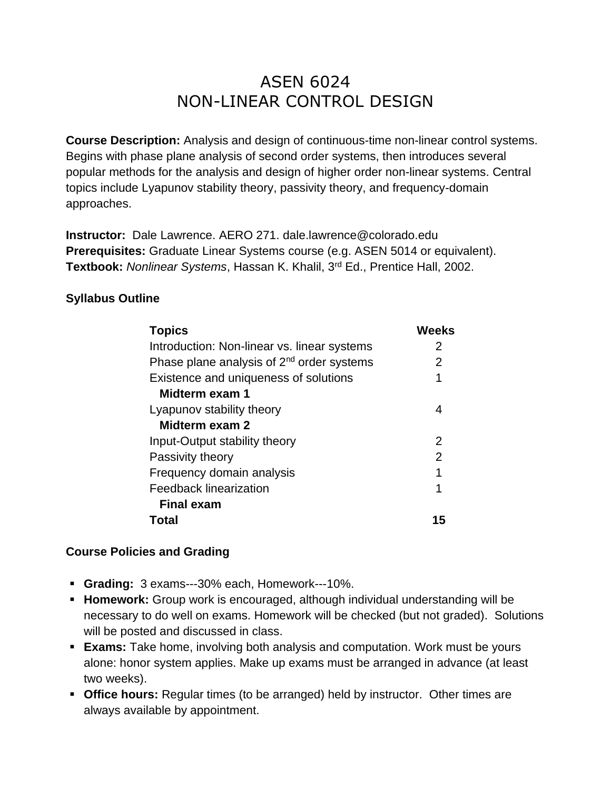# ASEN 6024 NON-LINEAR CONTROL DESIGN

**Course Description:** Analysis and design of continuous-time non-linear control systems. Begins with phase plane analysis of second order systems, then introduces several popular methods for the analysis and design of higher order non-linear systems. Central topics include Lyapunov stability theory, passivity theory, and frequency-domain approaches.

**Instructor:** Dale Lawrence. AERO 271. dale.lawrence@colorado.edu **Prerequisites:** Graduate Linear Systems course (e.g. ASEN 5014 or equivalent). **Textbook:** *Nonlinear Systems*, Hassan K. Khalil, 3rd Ed., Prentice Hall, 2002.

## **Syllabus Outline**

| <b>Topics</b>                                  | <b>Weeks</b>   |
|------------------------------------------------|----------------|
| Introduction: Non-linear vs. linear systems    | 2              |
| Phase plane analysis of $2^{nd}$ order systems | 2              |
| Existence and uniqueness of solutions          | 1              |
| Midterm exam 1                                 |                |
| Lyapunov stability theory                      | 4              |
| Midterm exam 2                                 |                |
| Input-Output stability theory                  | 2              |
| Passivity theory                               | $\overline{2}$ |
| Frequency domain analysis                      | 1              |
| <b>Feedback linearization</b>                  | 1              |
| <b>Final exam</b>                              |                |
| Total                                          | 15             |

#### **Course Policies and Grading**

- **Grading:** 3 exams---30% each, Homework---10%.
- **Homework:** Group work is encouraged, although individual understanding will be necessary to do well on exams. Homework will be checked (but not graded). Solutions will be posted and discussed in class.
- **Exams:** Take home, involving both analysis and computation. Work must be yours alone: honor system applies. Make up exams must be arranged in advance (at least two weeks).
- **Office hours:** Regular times (to be arranged) held by instructor. Other times are always available by appointment.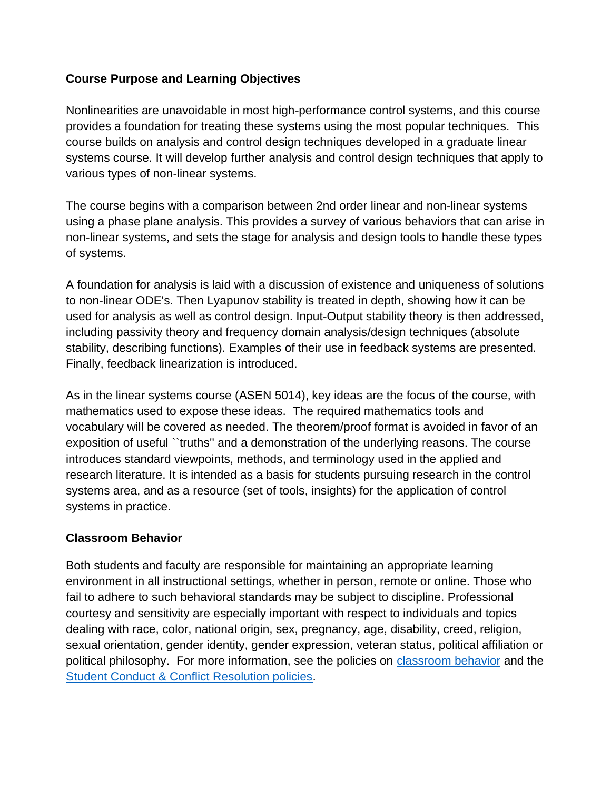### **Course Purpose and Learning Objectives**

Nonlinearities are unavoidable in most high-performance control systems, and this course provides a foundation for treating these systems using the most popular techniques. This course builds on analysis and control design techniques developed in a graduate linear systems course. It will develop further analysis and control design techniques that apply to various types of non-linear systems.

The course begins with a comparison between 2nd order linear and non-linear systems using a phase plane analysis. This provides a survey of various behaviors that can arise in non-linear systems, and sets the stage for analysis and design tools to handle these types of systems.

A foundation for analysis is laid with a discussion of existence and uniqueness of solutions to non-linear ODE's. Then Lyapunov stability is treated in depth, showing how it can be used for analysis as well as control design. Input-Output stability theory is then addressed, including passivity theory and frequency domain analysis/design techniques (absolute stability, describing functions). Examples of their use in feedback systems are presented. Finally, feedback linearization is introduced.

As in the linear systems course (ASEN 5014), key ideas are the focus of the course, with mathematics used to expose these ideas. The required mathematics tools and vocabulary will be covered as needed. The theorem/proof format is avoided in favor of an exposition of useful ``truths'' and a demonstration of the underlying reasons. The course introduces standard viewpoints, methods, and terminology used in the applied and research literature. It is intended as a basis for students pursuing research in the control systems area, and as a resource (set of tools, insights) for the application of control systems in practice.

#### **Classroom Behavior**

Both students and faculty are responsible for maintaining an appropriate learning environment in all instructional settings, whether in person, remote or online. Those who fail to adhere to such behavioral standards may be subject to discipline. Professional courtesy and sensitivity are especially important with respect to individuals and topics dealing with race, color, national origin, sex, pregnancy, age, disability, creed, religion, sexual orientation, gender identity, gender expression, veteran status, political affiliation or political philosophy. For more information, see the policies on [classroom behavior](http://www.colorado.edu/policies/student-classroom-and-course-related-behavior) and the [Student Conduct & Conflict Resolution policies.](https://www.colorado.edu/sccr/student-conduct)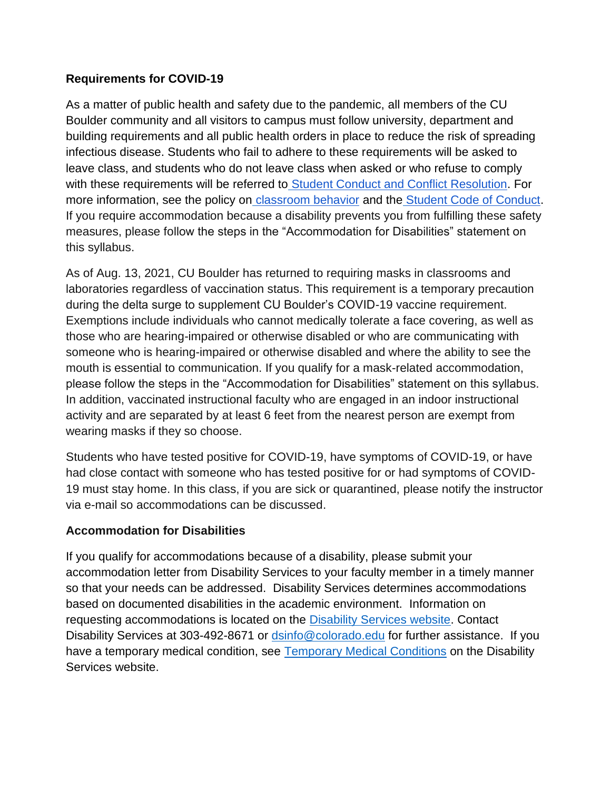#### **Requirements for COVID-19**

As a matter of public health and safety due to the pandemic, all members of the CU Boulder community and all visitors to campus must follow university, department and building requirements and all public health orders in place to reduce the risk of spreading infectious disease. Students who fail to adhere to these requirements will be asked to leave class, and students who do not leave class when asked or who refuse to comply with these requirements will be referred t[o](https://www.colorado.edu/sccr/) [Student Conduct and Conflict Resolution.](https://www.colorado.edu/sccr/) For more information, see the policy o[n](https://www.colorado.edu/policies/covid-19-health-and-safety-policy) [classroom behavior](http://www.colorado.edu/policies/student-classroom-and-course-related-behavior) and th[e](http://www.colorado.edu/osccr/) [Student Code of Conduct.](http://www.colorado.edu/osccr/) If you require accommodation because a disability prevents you from fulfilling these safety measures, please follow the steps in the "Accommodation for Disabilities" statement on this syllabus.

As of Aug. 13, 2021, CU Boulder has returned to requiring masks in classrooms and laboratories regardless of vaccination status. This requirement is a temporary precaution during the delta surge to supplement CU Boulder's COVID-19 vaccine requirement. Exemptions include individuals who cannot medically tolerate a face covering, as well as those who are hearing-impaired or otherwise disabled or who are communicating with someone who is hearing-impaired or otherwise disabled and where the ability to see the mouth is essential to communication. If you qualify for a mask-related accommodation, please follow the steps in the "Accommodation for Disabilities" statement on this syllabus. In addition, vaccinated instructional faculty who are engaged in an indoor instructional activity and are separated by at least 6 feet from the nearest person are exempt from wearing masks if they so choose.

Students who have tested positive for COVID-19, have symptoms of COVID-19, or have had close contact with someone who has tested positive for or had symptoms of COVID-19 must stay home. In this class, if you are sick or quarantined, please notify the instructor via e-mail so accommodations can be discussed.

#### **Accommodation for Disabilities**

If you qualify for accommodations because of a disability, please submit your accommodation letter from Disability Services to your faculty member in a timely manner so that your needs can be addressed. Disability Services determines accommodations based on documented disabilities in the academic environment. Information on requesting accommodations is located on the [Disability Services website.](https://www.colorado.edu/disabilityservices/) Contact Disability Services at 303-492-8671 or [dsinfo@colorado.edu](mailto:dsinfo@colorado.edu) for further assistance. If you have a temporary medical condition, see **Temporary Medical Conditions** on the Disability Services website.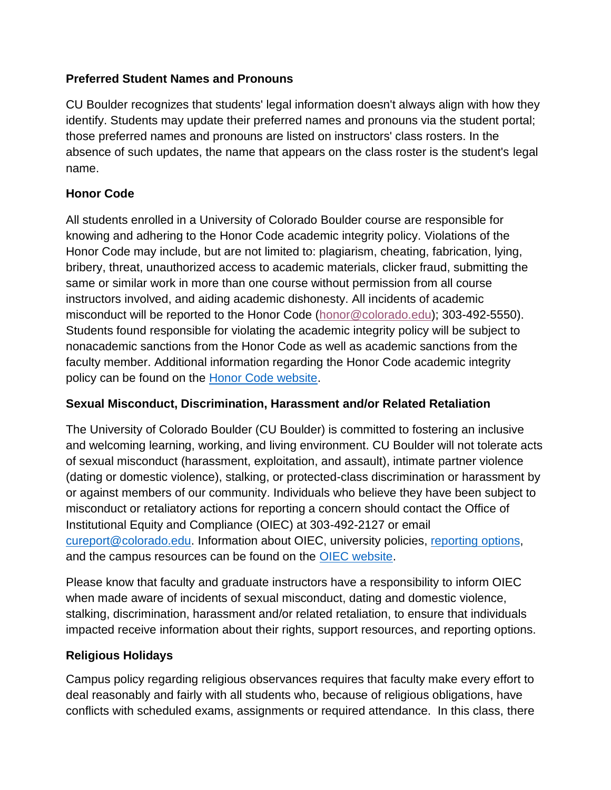## **Preferred Student Names and Pronouns**

CU Boulder recognizes that students' legal information doesn't always align with how they identify. Students may update their preferred names and pronouns via the student portal; those preferred names and pronouns are listed on instructors' class rosters. In the absence of such updates, the name that appears on the class roster is the student's legal name.

# **Honor Code**

All students enrolled in a University of Colorado Boulder course are responsible for knowing and adhering to the Honor Code academic integrity policy. Violations of the Honor Code may include, but are not limited to: plagiarism, cheating, fabrication, lying, bribery, threat, unauthorized access to academic materials, clicker fraud, submitting the same or similar work in more than one course without permission from all course instructors involved, and aiding academic dishonesty. All incidents of academic misconduct will be reported to the Honor Code [\(honor@colorado.edu\)](mailto:honor@colorado.edu); 303-492-5550). Students found responsible for violating the academic integrity policy will be subject to nonacademic sanctions from the Honor Code as well as academic sanctions from the faculty member. Additional information regarding the Honor Code academic integrity policy can be found on the [Honor Code website.](https://www.colorado.edu/osccr/honor-code)

## **Sexual Misconduct, Discrimination, Harassment and/or Related Retaliation**

The University of Colorado Boulder (CU Boulder) is committed to fostering an inclusive and welcoming learning, working, and living environment. CU Boulder will not tolerate acts of sexual misconduct (harassment, exploitation, and assault), intimate partner violence (dating or domestic violence), stalking, or protected-class discrimination or harassment by or against members of our community. Individuals who believe they have been subject to misconduct or retaliatory actions for reporting a concern should contact the Office of Institutional Equity and Compliance (OIEC) at 303-492-2127 or email [cureport@colorado.edu.](mailto:cureport@colorado.edu) Information about OIEC, university policies, [reporting](https://www.colorado.edu/oiec/reporting-resolutions/making-report) options, and the campus resources can be found on the **OIEC** website.

Please know that faculty and graduate instructors have a responsibility to inform OIEC when made aware of incidents of sexual misconduct, dating and domestic violence, stalking, discrimination, harassment and/or related retaliation, to ensure that individuals impacted receive information about their rights, support resources, and reporting options.

## **Religious Holidays**

Campus policy regarding religious observances requires that faculty make every effort to deal reasonably and fairly with all students who, because of religious obligations, have conflicts with scheduled exams, assignments or required attendance. In this class, there